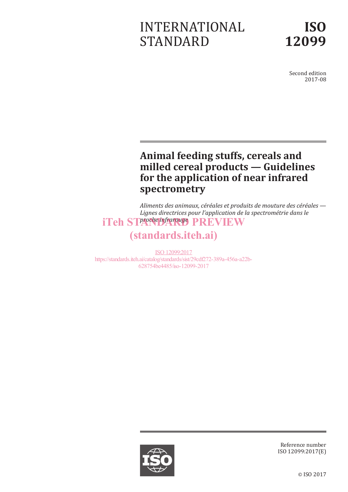# INTERNATIONAL STANDARD

Second edition 2017-08

## **Animal feeding stuffs, cereals and milled cereal products — Guidelines for the application of near infrared spectrometry**

*Aliments des animaux, céréales et produits de mouture des céréales — Lignes directrices pour l'application de la spectrométrie dans le*  iTeh STProche infrarouge PREVIEW

# (standards.iteh.ai)

ISO 12099:2017 https://standards.iteh.ai/catalog/standards/sist/29cdf272-389a-456a-a22b-628754be4485/iso-12099-2017



Reference number ISO 12099:2017(E)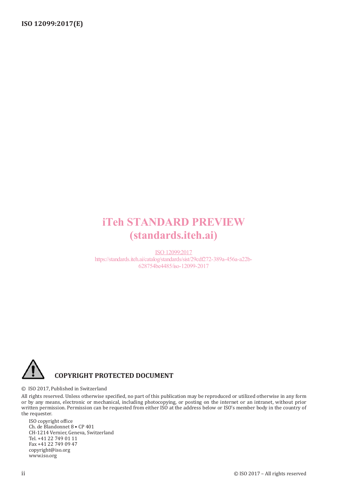# iTeh STANDARD PREVIEW (standards.iteh.ai)

ISO 12099:2017 https://standards.iteh.ai/catalog/standards/sist/29cdf272-389a-456a-a22b-628754be4485/iso-12099-2017



#### © ISO 2017, Published in Switzerland

All rights reserved. Unless otherwise specified, no part of this publication may be reproduced or utilized otherwise in any form or by any means, electronic or mechanical, including photocopying, or posting on the internet or an intranet, without prior written permission. Permission can be requested from either ISO at the address below or ISO's member body in the country of the requester.

ISO copyright office Ch. de Blandonnet 8 • CP 401 CH-1214 Vernier, Geneva, Switzerland Tel. +41 22 749 01 11 Fax +41 22 749 09 47 copyright@iso.org www.iso.org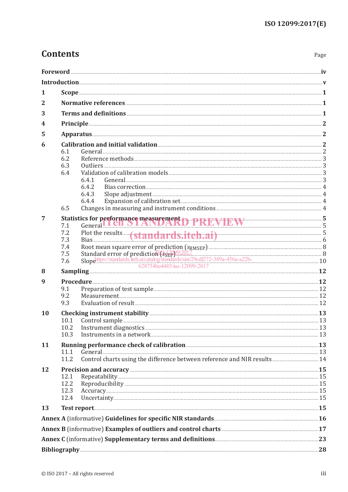Page

## **Contents**

| 1                                                                                                                                                                                                                                                                                                                       |  |
|-------------------------------------------------------------------------------------------------------------------------------------------------------------------------------------------------------------------------------------------------------------------------------------------------------------------------|--|
| 2                                                                                                                                                                                                                                                                                                                       |  |
| 3                                                                                                                                                                                                                                                                                                                       |  |
| Principle 2<br>4                                                                                                                                                                                                                                                                                                        |  |
| 5                                                                                                                                                                                                                                                                                                                       |  |
| Calibration and initial validation <b>Exercise 2</b> 2                                                                                                                                                                                                                                                                  |  |
| 6<br>6.1<br>6.2<br>6.3<br>6.4<br>6.4.1<br>6.4.2<br>6.4.3<br>6.4.4                                                                                                                                                                                                                                                       |  |
| 6.5                                                                                                                                                                                                                                                                                                                     |  |
| Statistics for performance measurement D PREVIEW 35<br>7<br>Plot the results (standards.itch.ai) 5<br>7.2<br>7.3<br>Root mean square error of prediction (SRMSEP)<br>Standard error of prediction (SRMSEP)<br>Slopehttps://standards.iteh.ai/catalog/standards/sist/29cdf272-389a-456a-a22b-<br>10<br>7.4<br>7.5<br>7.6 |  |
| 8                                                                                                                                                                                                                                                                                                                       |  |
| 9<br>9.1<br>9.2<br>9.3                                                                                                                                                                                                                                                                                                  |  |
| 10                                                                                                                                                                                                                                                                                                                      |  |
| 10.2<br>10.3                                                                                                                                                                                                                                                                                                            |  |
| 11<br>11.1<br>11.2                                                                                                                                                                                                                                                                                                      |  |
| 12<br>12.1<br>12.2<br>12.3<br>12.4                                                                                                                                                                                                                                                                                      |  |
| 13                                                                                                                                                                                                                                                                                                                      |  |
| Annex A (informative) Guidelines for specific NIR standards <b>Anno 2018</b> 16                                                                                                                                                                                                                                         |  |
|                                                                                                                                                                                                                                                                                                                         |  |
| Annex C (informative) Supplementary terms and definitions <b>Entire 2018</b> 23                                                                                                                                                                                                                                         |  |
|                                                                                                                                                                                                                                                                                                                         |  |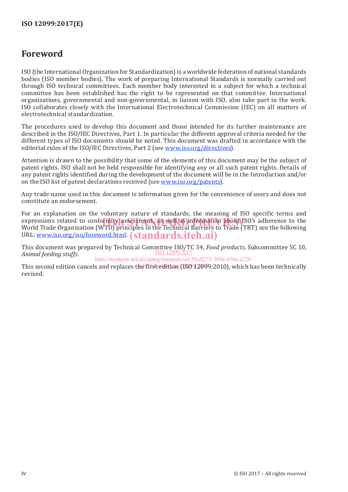## **Foreword**

ISO (the International Organization for Standardization) is a worldwide federation of national standards bodies (ISO member bodies). The work of preparing International Standards is normally carried out through ISO technical committees. Each member body interested in a subject for which a technical committee has been established has the right to be represented on that committee. International organizations, governmental and non-governmental, in liaison with ISO, also take part in the work. ISO collaborates closely with the International Electrotechnical Commission (IEC) on all matters of electrotechnical standardization.

The procedures used to develop this document and those intended for its further maintenance are described in the ISO/IEC Directives, Part 1. In particular the different approval criteria needed for the different types of ISO documents should be noted. This document was drafted in accordance with the editorial rules of the ISO/IEC Directives, Part 2 (see www.iso.org/directives).

Attention is drawn to the possibility that some of the elements of this document may be the subject of patent rights. ISO shall not be held responsible for identifying any or all such patent rights. Details of any patent rights identified during the development of the document will be in the Introduction and/or on the ISO list of patent declarations received (see www.iso.org/patents).

Any trade name used in this document is information given for the convenience of users and does not constitute an endorsement.

For an explanation on the voluntary nature of standards, the meaning of ISO specific terms and expressions related to conformity assessment, as well as information about ISO's adherence to the<br>World Trade Organization (WTO) principles in the Technical Barriers to Trade (TBT) see the following World Trade Organization (WTO) principles in the Technical Barriers to Trade (TBT) see the following URL: <u>www.iso.org/iso/foreword.html</u>. (standards.iteh.ai)

This document was prepared by Technical Committee ISO/TC 34, *Food products*, Subcommittee SC 10, *Animal feeding stuffs*. ISO 12099:2017

https://standards.iteh.ai/catalog/standards/sist/29cdf272-389a-456a-a22b-

This second edition cancels and replaces the first edition (ISO9-2099:2010), which has been technically revised.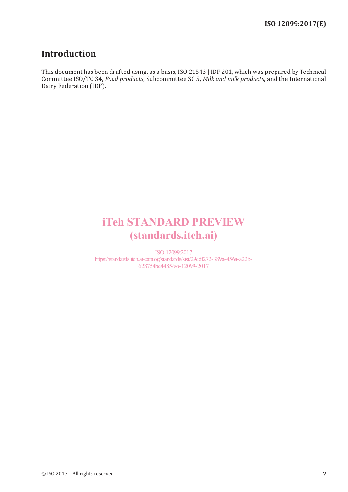## **Introduction**

This document has been drafted using, as a basis, ISO 21543 | IDF 201, which was prepared by Technical Committee ISO/TC 34, *Food products*, Subcommittee SC 5, *Milk and milk products*, and the International Dairy Federation (IDF).

# iTeh STANDARD PREVIEW (standards.iteh.ai)

ISO 12099:2017 https://standards.iteh.ai/catalog/standards/sist/29cdf272-389a-456a-a22b-628754be4485/iso-12099-2017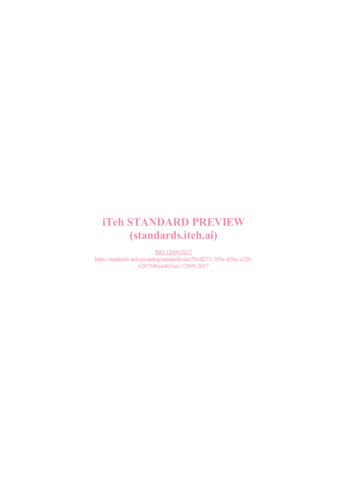# iTeh STANDARD PREVIEW (standards.iteh.ai)

ISO 12099:2017 https://standards.iteh.ai/catalog/standards/sist/29cdf272-389a-456a-a22b-628754be4485/iso-12099-2017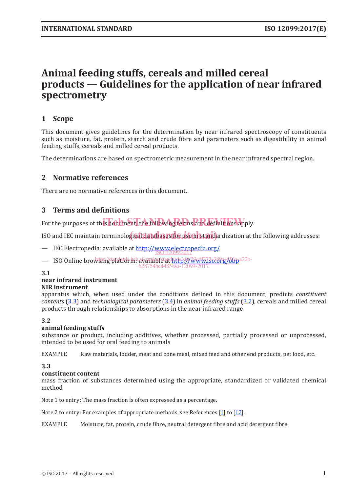## **Animal feeding stuffs, cereals and milled cereal products — Guidelines for the application of near infrared spectrometry**

## **1 Scope**

This document gives guidelines for the determination by near infrared spectroscopy of constituents such as moisture, fat, protein, starch and crude fibre and parameters such as digestibility in animal feeding stuffs, cereals and milled cereal products.

The determinations are based on spectrometric measurement in the near infrared spectral region.

## **2 Normative references**

There are no normative references in this document.

## **3 Terms and definitions**

For the purposes of this document, the following terms and definitions apply.

ISO and IEC maintain terminolo**gical databases for use in stand**ardization at the following addresses:

628754be4485/iso-12099-2017

- IEC Electropedia: available at <u>http://www.electropedia.org/</u>
- ISO Online bro<del>wsing platform: available at http://www.iso.org/obp</del>a22b-

#### **3.1**

## **near infrared instrument**

#### **NIR instrument**

apparatus which, when used under the conditions defined in this document, predicts *constituent contents* (3.3) and *technological parameters* (3.4) in *animal feeding stuffs* (3.2), cereals and milled cereal products through relationships to absorptions in the near infrared range

#### **3.2**

#### **animal feeding stuffs**

substance or product, including additives, whether processed, partially processed or unprocessed, intended to be used for oral feeding to animals

EXAMPLE Raw materials, fodder, meat and bone meal, mixed feed and other end products, pet food, etc.

#### **3.3**

#### **constituent content**

mass fraction of substances determined using the appropriate, standardized or validated chemical method

Note 1 to entry: The mass fraction is often expressed as a percentage.

Note 2 to entry: For examples of appropriate methods, see References [1] to [12].

EXAMPLE Moisture, fat, protein, crude fibre, neutral detergent fibre and acid detergent fibre.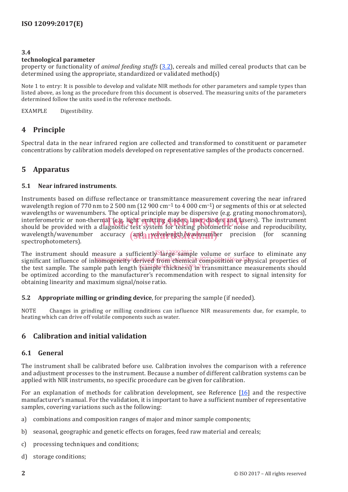### **3.4**

#### **technological parameter**

property or functionality of *animal feeding stuffs* (3.2), cereals and milled cereal products that can be determined using the appropriate, standardized or validated method(s)

Note 1 to entry: It is possible to develop and validate NIR methods for other parameters and sample types than listed above, as long as the procedure from this document is observed. The measuring units of the parameters determined follow the units used in the reference methods.

EXAMPLE Digestibility.

## **4 Principle**

Spectral data in the near infrared region are collected and transformed to constituent or parameter concentrations by calibration models developed on representative samples of the products concerned.

## **5 Apparatus**

#### **5.1 Near infrared instruments**.

Instruments based on diffuse reflectance or transmittance measurement covering the near infrared wavelength region of 770 nm to 2 500 nm (12 900 cm−1 to 4 000 cm−1) or segments of this or at selected wavelengths or wavenumbers. The optical principle may be dispersive (e.g. grating monochromators), interferometric or non-thermal (e.g. light emitting diodes, laser diodes and lasers). The instrument<br>should be provided with a diagnostic test system for testing photometric noise and reproducibility. should be provided with a diagnostic test system for testing photometric noise and reproducibility,<br>wavelength/wavenumber accuracy (and wavelength/wavenumber precision (for scanning wavelength/wavenumber accuracy and wavelength/wavenumber precision (for scanning precision), spectrophotometers).

The instrument should measure a sufficiently  $\frac{12000,2017}{1200}$  volume or surface to eliminate any significant influence of inhomogeneity derived from chemical composition or physical properties of the test sample. The sample path length (sample thickness) in transmittance measurements should be optimized according to the manufacturer's recommendation with respect to signal intensity for obtaining linearity and maximum signal/noise ratio.

**5.2 Appropriate milling or grinding device**, for preparing the sample (if needed).

NOTE Changes in grinding or milling conditions can influence NIR measurements due, for example, to heating which can drive off volatile components such as water.

## **6 Calibration and initial validation**

#### **6.1 General**

The instrument shall be calibrated before use. Calibration involves the comparison with a reference and adjustment processes to the instrument. Because a number of different calibration systems can be applied with NIR instruments, no specific procedure can be given for calibration.

For an explanation of methods for calibration development, see Reference [16] and the respective manufacturer's manual. For the validation, it is important to have a sufficient number of representative samples, covering variations such as the following:

- a) combinations and composition ranges of major and minor sample components;
- b) seasonal, geographic and genetic effects on forages, feed raw material and cereals;
- c) processing techniques and conditions;
- d) storage conditions;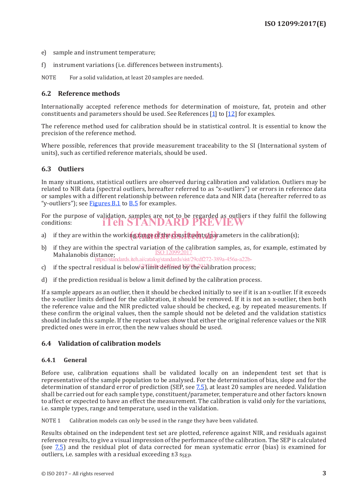- e) sample and instrument temperature;
- f) instrument variations (i.e. differences between instruments).

NOTE For a solid validation, at least 20 samples are needed.

### **6.2 Reference methods**

Internationally accepted reference methods for determination of moisture, fat, protein and other constituents and parameters should be used. See References [1] to [12] for examples.

The reference method used for calibration should be in statistical control. It is essential to know the precision of the reference method.

Where possible, references that provide measurement traceability to the SI (International system of units), such as certified reference materials, should be used.

#### **6.3 Outliers**

In many situations, statistical outliers are observed during calibration and validation. Outliers may be related to NIR data (spectral outliers, hereafter referred to as "x-outliers") or errors in reference data or samples with a different relationship between reference data and NIR data (hereafter referred to as "y-outliers"); see  $Figures B.1$  to  $B.5$  for examples.

For the purpose of validation, samples are not to be regarded as outliers if they fulfil the following conditions: iTeh STANDARD PREVIEW

- a) if they are within the working range of the constituents/parameters in the calibration(s);
- b) if they are within the spectral variation of the calibration samples, as, for example, estimated by ment in the speed of the set of the set of the set of the set of the set of the set of the set of the set of the set of the set of the set of the set of the set of the set of the set of the set of the set of the set of the https://standards.iteh.ai/catalog/standards/sist/29cdf272-389a-456a-a22b-
- c) if the spectral residual is below all inited of the calibration process;
- d) if the prediction residual is below a limit defined by the calibration process.

If a sample appears as an outlier, then it should be checked initially to see if it is an x-outlier. If it exceeds the x-outlier limits defined for the calibration, it should be removed. If it is not an x-outlier, then both the reference value and the NIR predicted value should be checked, e.g. by repeated measurements. If these confirm the original values, then the sample should not be deleted and the validation statistics should include this sample. If the repeat values show that either the original reference values or the NIR predicted ones were in error, then the new values should be used.

#### **6.4 Validation of calibration models**

#### **6.4.1 General**

Before use, calibration equations shall be validated locally on an independent test set that is representative of the sample population to be analysed. For the determination of bias, slope and for the determination of standard error of prediction (SEP, see 7.5), at least 20 samples are needed. Validation shall be carried out for each sample type, constituent/parameter, temperature and other factors known to affect or expected to have an effect the measurement. The calibration is valid only for the variations, i.e. sample types, range and temperature, used in the validation.

NOTE 1 Calibration models can only be used in the range they have been validated.

Results obtained on the independent test set are plotted, reference against NIR, and residuals against reference results, to give a visual impression of the performance of the calibration. The SEP is calculated (see  $7.5$ ) and the residual plot of data corrected for mean systematic error (bias) is examined for outliers, i.e. samples with a residual exceeding  $\pm 3$  ssep.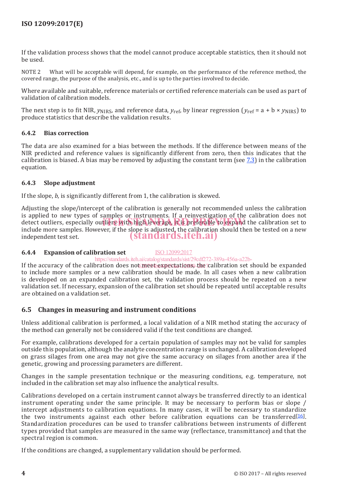If the validation process shows that the model cannot produce acceptable statistics, then it should not be used.

NOTE 2 What will be acceptable will depend, for example, on the performance of the reference method, the covered range, the purpose of the analysis, etc., and is up to the parties involved to decide.

Where available and suitable, reference materials or certified reference materials can be used as part of validation of calibration models.

The next step is to fit NIR,  $y_{NIRS}$ , and reference data,  $y_{ref}$ , by linear regression ( $y_{ref} = a + b \times y_{NIRS}$ ) to produce statistics that describe the validation results.

#### **6.4.2 Bias correction**

The data are also examined for a bias between the methods. If the difference between means of the NIR predicted and reference values is significantly different from zero, then this indicates that the calibration is biased. A bias may be removed by adjusting the constant term (see 7.3) in the calibration equation.

#### **6.4.3 Slope adjustment**

If the slope, *b*, is significantly different from 1, the calibration is skewed.

Adjusting the slope/intercept of the calibration is generally not recommended unless the calibration is applied to new types of samples or instruments. If a reinvestigation of the calibration does not detect outliers, especially outliers with high leverage, it is preferable to expand the calibration set to include the calibration set to include more samples. However, if the slope is adjusted, the calibration should then be tested on a new independent test set. (standards.iteh.ai)

#### **6.4.4 Expansion of calibration set** ISO 12099:2017

#### https://standards.iteh.ai/catalog/standards/sist/29cdf272-389a-456a-a22b-

If the accuracy of the calibration does not meet expectations) the calibration set should be expanded to include more samples or a new calibration should be made. In all cases when a new calibration is developed on an expanded calibration set, the validation process should be repeated on a new validation set. If necessary, expansion of the calibration set should be repeated until acceptable results are obtained on a validation set.

#### **6.5 Changes in measuring and instrument conditions**

Unless additional calibration is performed, a local validation of a NIR method stating the accuracy of the method can generally not be considered valid if the test conditions are changed.

For example, calibrations developed for a certain population of samples may not be valid for samples outside this population, although the analyte concentration range is unchanged. A calibration developed on grass silages from one area may not give the same accuracy on silages from another area if the genetic, growing and processing parameters are different.

Changes in the sample presentation technique or the measuring conditions, e.g. temperature, not included in the calibration set may also influence the analytical results.

Calibrations developed on a certain instrument cannot always be transferred directly to an identical instrument operating under the same principle. It may be necessary to perform bias or slope / intercept adjustments to calibration equations. In many cases, it will be necessary to standardize the two instruments against each other before calibration equations can be transferred[16]. Standardization procedures can be used to transfer calibrations between instruments of different types provided that samples are measured in the same way (reflectance, transmittance) and that the spectral region is common.

If the conditions are changed, a supplementary validation should be performed.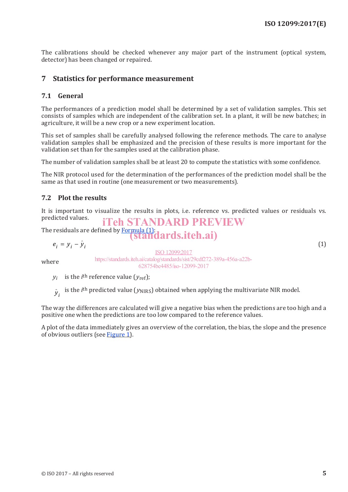The calibrations should be checked whenever any major part of the instrument (optical system, detector) has been changed or repaired.

### **7 Statistics for performance measurement**

#### **7.1 General**

The performances of a prediction model shall be determined by a set of validation samples. This set consists of samples which are independent of the calibration set. In a plant, it will be new batches; in agriculture, it will be a new crop or a new experiment location.

This set of samples shall be carefully analysed following the reference methods. The care to analyse validation samples shall be emphasized and the precision of these results is more important for the validation set than for the samples used at the calibration phase.

The number of validation samples shall be at least 20 to compute the statistics with some confidence.

The NIR protocol used for the determination of the performances of the prediction model shall be the same as that used in routine (one measurement or two measurements).

### **7.2 Plot the results**

It is important to visualize the results in plots, i.e. reference vs. predicted values or residuals vs. predicted values. iTeh STANDARD PREVIEW

The residuals are defined by **Formula**  $(1)$ :  $(31a)$ **dards.iteh.ai**)

$$
e_i = y_i - \hat{y}_i \tag{1}
$$

ISO 12099:2017 https://standards.iteh.ai/catalog/standards/sist/29cdf272-389a-456a-a22b-628754be4485/iso-12099-2017

where

 $v_i$  is the *i*<sup>th</sup> reference value ( $v_{ref}$ );

 $\hat{\textbf{y}}_i^{\phantom{\dag}}$  is the *i*<sup>th</sup> predicted value ( $\textbf{y}_{\text{NIRS}}$ ) obtained when applying the multivariate NIR model.

The way the differences are calculated will give a negative bias when the predictions are too high and a positive one when the predictions are too low compared to the reference values.

A plot of the data immediately gives an overview of the correlation, the bias, the slope and the presence of obvious outliers (see Figure 1).